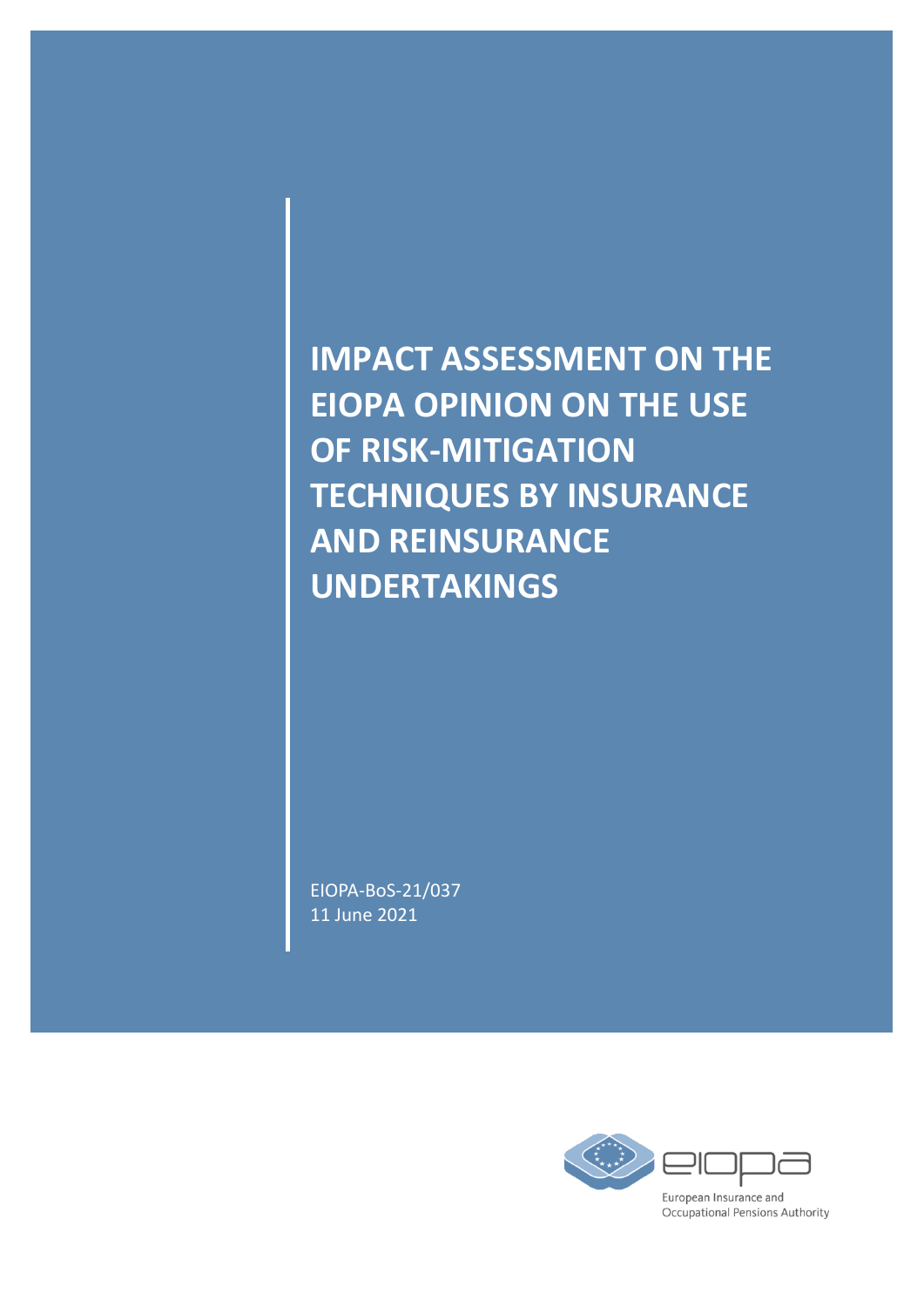**IMPACT ASSESSMENT ON THE EIOPA OPINION ON THE USE OF RISK-MITIGATION TECHNIQUES BY INSURANCE AND REINSURANCE UNDERTAKINGS** 

EIOPA-BoS-21/037 11 June 2021

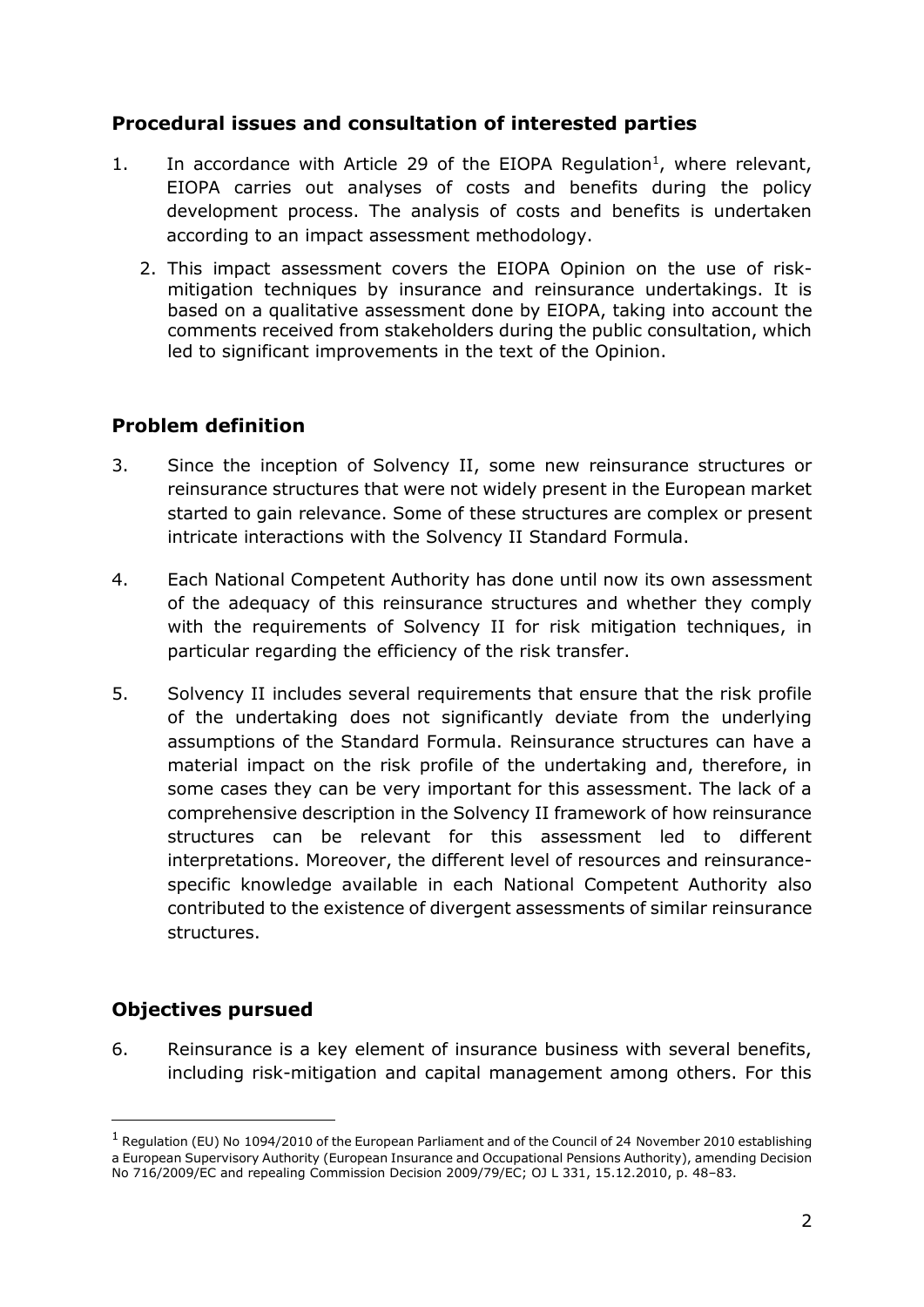## **Procedural issues and consultation of interested parties**

- 1. In accordance with Article 29 of the EIOPA Regulation<sup>1</sup>, where relevant, EIOPA carries out analyses of costs and benefits during the policy development process. The analysis of costs and benefits is undertaken according to an impact assessment methodology.
	- 2. This impact assessment covers the EIOPA Opinion on the use of riskmitigation techniques by insurance and reinsurance undertakings. It is based on a qualitative assessment done by EIOPA, taking into account the comments received from stakeholders during the public consultation, which led to significant improvements in the text of the Opinion.

## **Problem definition**

- 3. Since the inception of Solvency II, some new reinsurance structures or reinsurance structures that were not widely present in the European market started to gain relevance. Some of these structures are complex or present intricate interactions with the Solvency II Standard Formula.
- 4. Each National Competent Authority has done until now its own assessment of the adequacy of this reinsurance structures and whether they comply with the requirements of Solvency II for risk mitigation techniques, in particular regarding the efficiency of the risk transfer.
- 5. Solvency II includes several requirements that ensure that the risk profile of the undertaking does not significantly deviate from the underlying assumptions of the Standard Formula. Reinsurance structures can have a material impact on the risk profile of the undertaking and, therefore, in some cases they can be very important for this assessment. The lack of a comprehensive description in the Solvency II framework of how reinsurance structures can be relevant for this assessment led to different interpretations. Moreover, the different level of resources and reinsurancespecific knowledge available in each National Competent Authority also contributed to the existence of divergent assessments of similar reinsurance structures.

### **Objectives pursued**

-

6. Reinsurance is a key element of insurance business with several benefits, including risk-mitigation and capital management among others. For this

 $1$  Regulation (EU) No 1094/2010 of the European Parliament and of the Council of 24 November 2010 establishing a European Supervisory Authority (European Insurance and Occupational Pensions Authority), amending Decision No 716/2009/EC and repealing Commission Decision 2009/79/EC; OJ L 331, 15.12.2010, p. 48–83.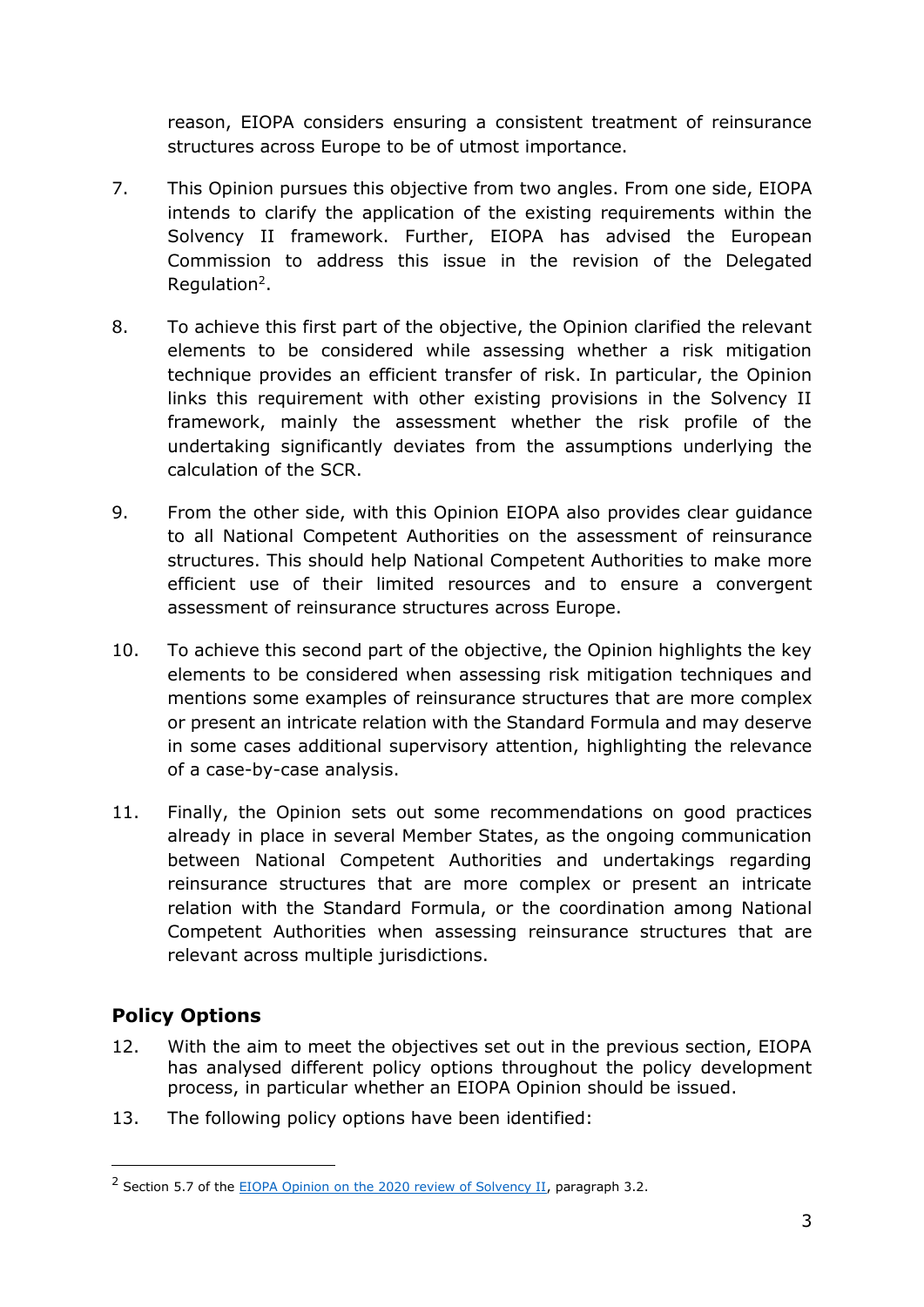reason, EIOPA considers ensuring a consistent treatment of reinsurance structures across Europe to be of utmost importance.

- 7. This Opinion pursues this objective from two angles. From one side, EIOPA intends to clarify the application of the existing requirements within the Solvency II framework. Further, EIOPA has advised the European Commission to address this issue in the revision of the Delegated Regulation<sup>2</sup>.
- 8. To achieve this first part of the objective, the Opinion clarified the relevant elements to be considered while assessing whether a risk mitigation technique provides an efficient transfer of risk. In particular, the Opinion links this requirement with other existing provisions in the Solvency II framework, mainly the assessment whether the risk profile of the undertaking significantly deviates from the assumptions underlying the calculation of the SCR.
- 9. From the other side, with this Opinion EIOPA also provides clear guidance to all National Competent Authorities on the assessment of reinsurance structures. This should help National Competent Authorities to make more efficient use of their limited resources and to ensure a convergent assessment of reinsurance structures across Europe.
- 10. To achieve this second part of the objective, the Opinion highlights the key elements to be considered when assessing risk mitigation techniques and mentions some examples of reinsurance structures that are more complex or present an intricate relation with the Standard Formula and may deserve in some cases additional supervisory attention, highlighting the relevance of a case-by-case analysis.
- 11. Finally, the Opinion sets out some recommendations on good practices already in place in several Member States, as the ongoing communication between National Competent Authorities and undertakings regarding reinsurance structures that are more complex or present an intricate relation with the Standard Formula, or the coordination among National Competent Authorities when assessing reinsurance structures that are relevant across multiple jurisdictions.

# **Policy Options**

-

- 12. With the aim to meet the objectives set out in the previous section, EIOPA has analysed different policy options throughout the policy development process, in particular whether an EIOPA Opinion should be issued.
- 13. The following policy options have been identified:

<sup>&</sup>lt;sup>2</sup> Section 5.7 of the **EIOPA Opinion on the 2020 review of Solvency II**, paragraph 3.2.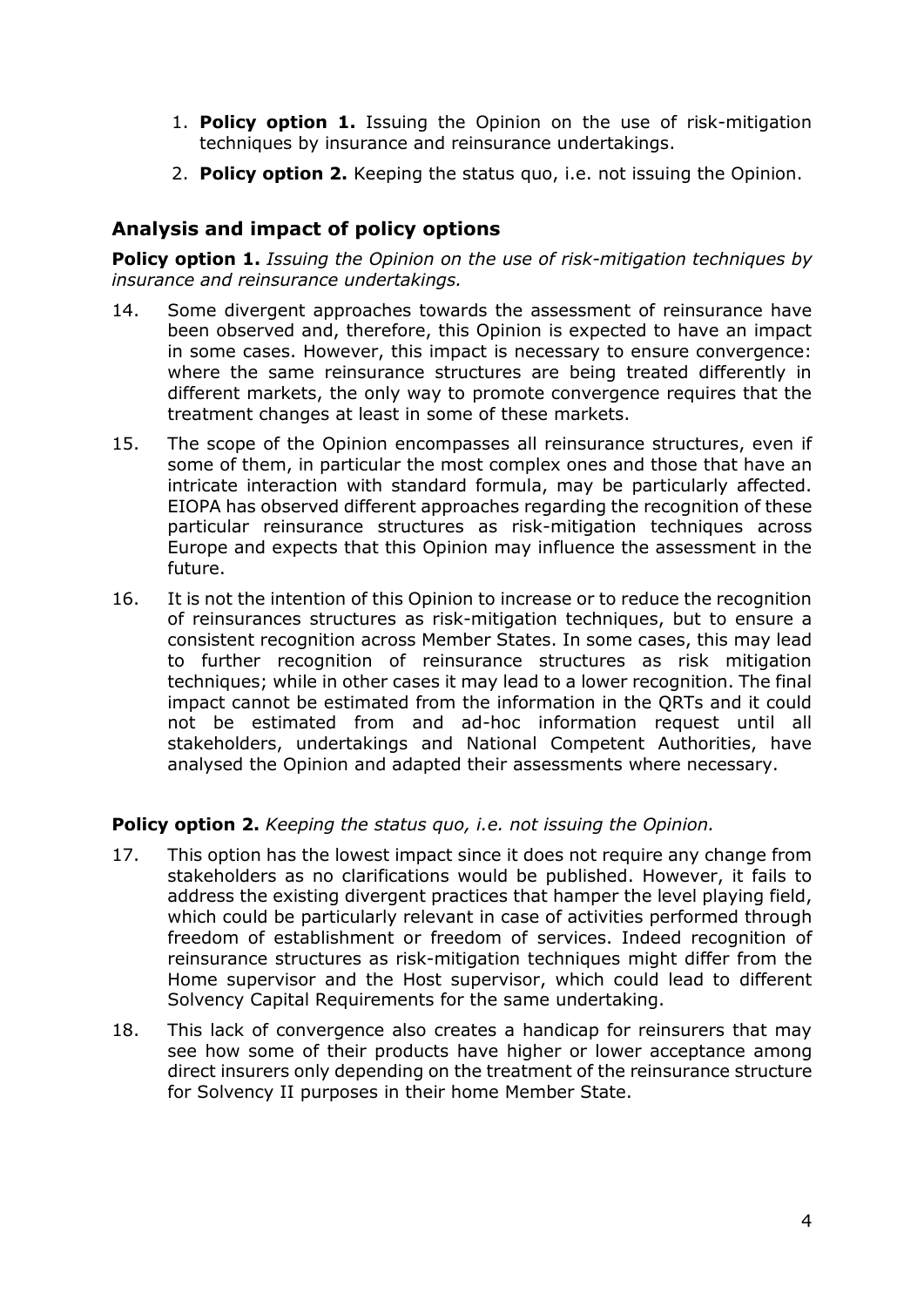- 1. **Policy option 1.** Issuing the Opinion on the use of risk-mitigation techniques by insurance and reinsurance undertakings.
- 2. **Policy option 2.** Keeping the status quo, i.e. not issuing the Opinion.

## **Analysis and impact of policy options**

**Policy option 1.** *Issuing the Opinion on the use of risk-mitigation techniques by insurance and reinsurance undertakings.*

- 14. Some divergent approaches towards the assessment of reinsurance have been observed and, therefore, this Opinion is expected to have an impact in some cases. However, this impact is necessary to ensure convergence: where the same reinsurance structures are being treated differently in different markets, the only way to promote convergence requires that the treatment changes at least in some of these markets.
- 15. The scope of the Opinion encompasses all reinsurance structures, even if some of them, in particular the most complex ones and those that have an intricate interaction with standard formula, may be particularly affected. EIOPA has observed different approaches regarding the recognition of these particular reinsurance structures as risk-mitigation techniques across Europe and expects that this Opinion may influence the assessment in the future.
- 16. It is not the intention of this Opinion to increase or to reduce the recognition of reinsurances structures as risk-mitigation techniques, but to ensure a consistent recognition across Member States. In some cases, this may lead to further recognition of reinsurance structures as risk mitigation techniques; while in other cases it may lead to a lower recognition. The final impact cannot be estimated from the information in the QRTs and it could not be estimated from and ad-hoc information request until all stakeholders, undertakings and National Competent Authorities, have analysed the Opinion and adapted their assessments where necessary.

#### **Policy option 2.** *Keeping the status quo, i.e. not issuing the Opinion.*

- 17. This option has the lowest impact since it does not require any change from stakeholders as no clarifications would be published. However, it fails to address the existing divergent practices that hamper the level playing field, which could be particularly relevant in case of activities performed through freedom of establishment or freedom of services. Indeed recognition of reinsurance structures as risk-mitigation techniques might differ from the Home supervisor and the Host supervisor, which could lead to different Solvency Capital Requirements for the same undertaking.
- 18. This lack of convergence also creates a handicap for reinsurers that may see how some of their products have higher or lower acceptance among direct insurers only depending on the treatment of the reinsurance structure for Solvency II purposes in their home Member State.